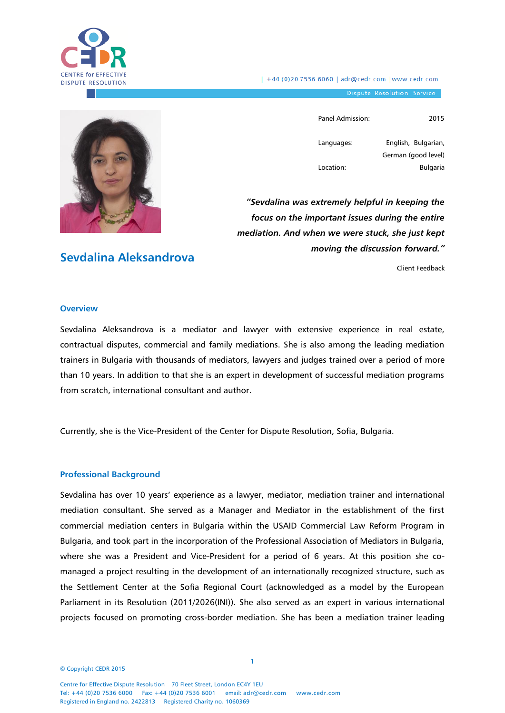

| +44 (0)20 7536 6060 | adr@cedr.com | www.cedr.com

Dispute Resolution Service

**Sevdalina Aleksandrova** 

Panel Admission: 2015

Languages: Location:

English, Bulgarian, German (good level) Bulgaria

*"Sevdalina was extremely helpful in keeping the focus on the important issues during the entire mediation. And when we were stuck, she just kept moving the discussion forward."*

Client Feedback

#### **Overview**

Sevdalina Aleksandrova is a mediator and lawyer with extensive experience in real estate, contractual disputes, commercial and family mediations. She is also among the leading mediation trainers in Bulgaria with thousands of mediators, lawyers and judges trained over a period of more than 10 years. In addition to that she is an expert in development of successful mediation programs from scratch, international consultant and author.

Currently, she is the Vice-President of the Center for Dispute Resolution, Sofia, Bulgaria.

#### **Professional Background**

Sevdalina has over 10 years' experience as a lawyer, mediator, mediation trainer and international mediation consultant. She served as a Manager and Mediator in the establishment of the first commercial mediation centers in Bulgaria within the USAID Commercial Law Reform Program in Bulgaria, and took part in the incorporation of the Professional Association of Mediators in Bulgaria, where she was a President and Vice-President for a period of 6 years. At this position she comanaged a project resulting in the development of an internationally recognized structure, such as the Settlement Center at the Sofia Regional Court (acknowledged as a model by the European Parliament in its Resolution [\(2011/2026\(INI\)\)](http://www.europarl.europa.eu/oeil/FindByProcnum.do?lang=en&procnum=INI/2011/2026). She also served as an expert in various international projects focused on promoting cross-border mediation. She has been a mediation trainer leading

© Copyright CEDR 2015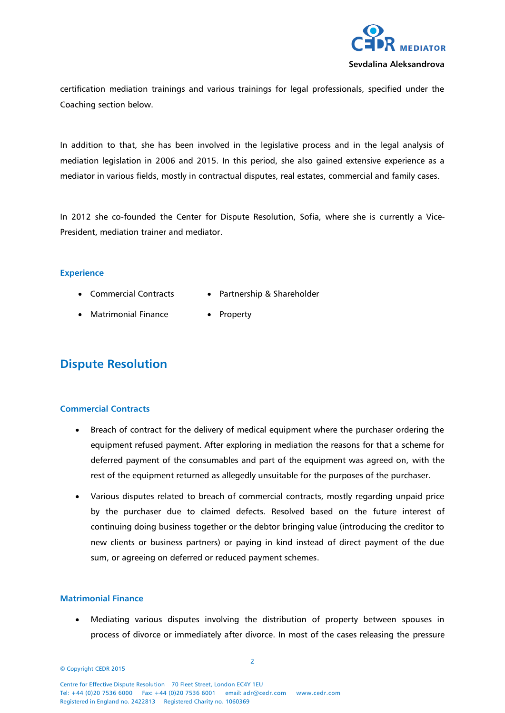

certification mediation trainings and various trainings for legal professionals, specified under the Coaching section below.

In addition to that, she has been involved in the legislative process and in the legal analysis of mediation legislation in 2006 and 2015. In this period, she also gained extensive experience as a mediator in various fields, mostly in contractual disputes, real estates, commercial and family cases.

In 2012 she co-founded the Center for Dispute Resolution, Sofia, where she is currently a Vice-President, mediation trainer and mediator.

## **Experience**

- Commercial Contracts • Partnership & Shareholder
- Matrimonial Finance • Property

# **Dispute Resolution**

# **Commercial Contracts**

- Breach of contract for the delivery of medical equipment where the purchaser ordering the equipment refused payment. After exploring in mediation the reasons for that a scheme for deferred payment of the consumables and part of the equipment was agreed on, with the rest of the equipment returned as allegedly unsuitable for the purposes of the purchaser.
- Various disputes related to breach of commercial contracts, mostly regarding unpaid price by the purchaser due to claimed defects. Resolved based on the future interest of continuing doing business together or the debtor bringing value (introducing the creditor to new clients or business partners) or paying in kind instead of direct payment of the due sum, or agreeing on deferred or reduced payment schemes.

# **Matrimonial Finance**

 Mediating various disputes involving the distribution of property between spouses in process of divorce or immediately after divorce. In most of the cases releasing the pressure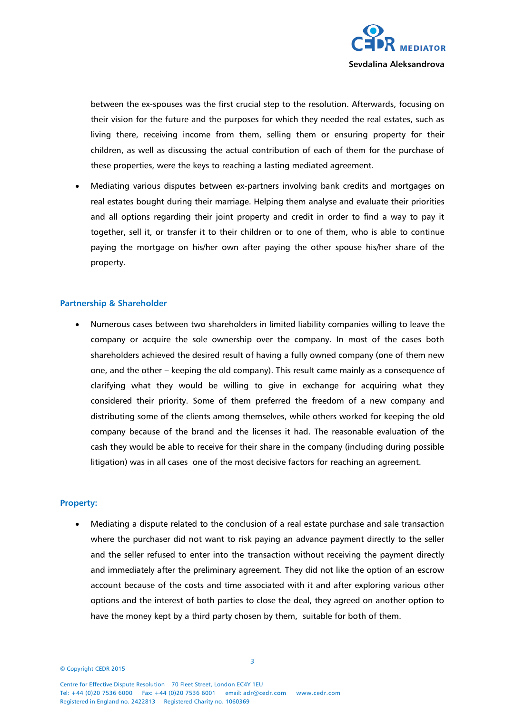

between the ex-spouses was the first crucial step to the resolution. Afterwards, focusing on their vision for the future and the purposes for which they needed the real estates, such as living there, receiving income from them, selling them or ensuring property for their children, as well as discussing the actual contribution of each of them for the purchase of these properties, were the keys to reaching a lasting mediated agreement.

 Mediating various disputes between ex-partners involving bank credits and mortgages on real estates bought during their marriage. Helping them analyse and evaluate their priorities and all options regarding their joint property and credit in order to find a way to pay it together, sell it, or transfer it to their children or to one of them, who is able to continue paying the mortgage on his/her own after paying the other spouse his/her share of the property.

#### **Partnership & Shareholder**

 Numerous cases between two shareholders in limited liability companies willing to leave the company or acquire the sole ownership over the company. In most of the cases both shareholders achieved the desired result of having a fully owned company (one of them new one, and the other – keeping the old company). This result came mainly as a consequence of clarifying what they would be willing to give in exchange for acquiring what they considered their priority. Some of them preferred the freedom of a new company and distributing some of the clients among themselves, while others worked for keeping the old company because of the brand and the licenses it had. The reasonable evaluation of the cash they would be able to receive for their share in the company (including during possible litigation) was in all cases one of the most decisive factors for reaching an agreement.

#### **Property:**

 Mediating a dispute related to the conclusion of a real estate purchase and sale transaction where the purchaser did not want to risk paying an advance payment directly to the seller and the seller refused to enter into the transaction without receiving the payment directly and immediately after the preliminary agreement. They did not like the option of an escrow account because of the costs and time associated with it and after exploring various other options and the interest of both parties to close the deal, they agreed on another option to have the money kept by a third party chosen by them, suitable for both of them.

© Copyright CEDR 2015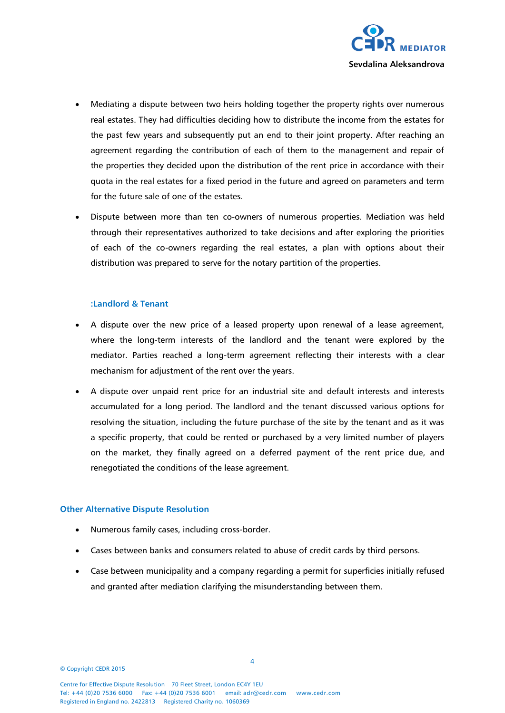

- Mediating a dispute between two heirs holding together the property rights over numerous real estates. They had difficulties deciding how to distribute the income from the estates for the past few years and subsequently put an end to their joint property. After reaching an agreement regarding the contribution of each of them to the management and repair of the properties they decided upon the distribution of the rent price in accordance with their quota in the real estates for a fixed period in the future and agreed on parameters and term for the future sale of one of the estates.
- Dispute between more than ten co-owners of numerous properties. Mediation was held through their representatives authorized to take decisions and after exploring the priorities of each of the co-owners regarding the real estates, a plan with options about their distribution was prepared to serve for the notary partition of the properties.

#### **:Landlord & Tenant**

- A dispute over the new price of a leased property upon renewal of a lease agreement, where the long-term interests of the landlord and the tenant were explored by the mediator. Parties reached a long-term agreement reflecting their interests with a clear mechanism for adjustment of the rent over the years.
- A dispute over unpaid rent price for an industrial site and default interests and interests accumulated for a long period. The landlord and the tenant discussed various options for resolving the situation, including the future purchase of the site by the tenant and as it was a specific property, that could be rented or purchased by a very limited number of players on the market, they finally agreed on a deferred payment of the rent price due, and renegotiated the conditions of the lease agreement.

#### **Other Alternative Dispute Resolution**

- Numerous family cases, including cross-border.
- Cases between banks and consumers related to abuse of credit cards by third persons.
- Case between municipality and a company regarding a permit for superficies initially refused and granted after mediation clarifying the misunderstanding between them.

© Copyright CEDR 2015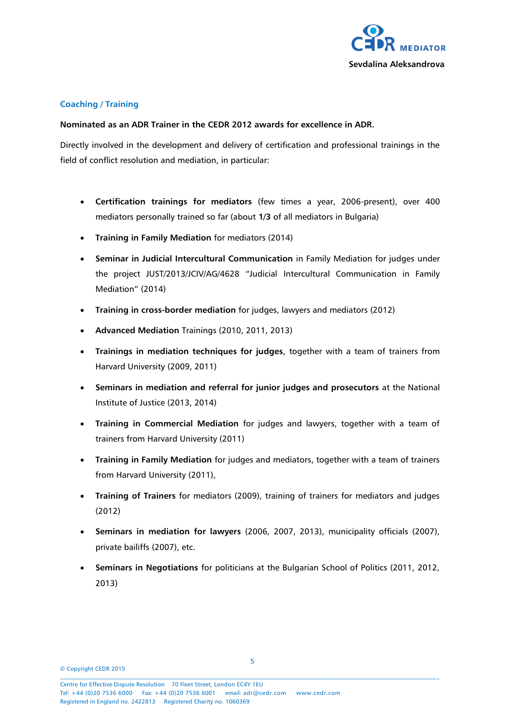

# **Coaching / Training**

# **Nominated as an ADR Trainer in the CEDR 2012 awards for excellence in ADR.**

Directly involved in the development and delivery of certification and professional trainings in the field of conflict resolution and mediation, in particular:

- **Certification trainings for mediators** (few times a year, 2006-present), over 400 mediators personally trained so far (about **1/3** of all mediators in Bulgaria)
- **Training in Family Mediation** for mediators (2014)
- **Seminar in Judicial Intercultural Communication** in Family Mediation for judges under the project JUST/2013/JCIV/AG/4628 "Judicial Intercultural Communication in Family Mediation" (2014)
- **Training in cross-border mediation** for judges, lawyers and mediators (2012)
- **Advanced Mediation** Trainings (2010, 2011, 2013)
- **Trainings in mediation techniques for judges**, together with a team of trainers from Harvard University (2009, 2011)
- **Seminars in mediation and referral for junior judges and prosecutors** at the National Institute of Justice (2013, 2014)
- **Training in Commercial Mediation** for judges and lawyers, together with a team of trainers from Harvard University (2011)
- **Training in Family Mediation** for judges and mediators, together with a team of trainers from Harvard University (2011),
- **Training of Trainers** for mediators (2009), training of trainers for mediators and judges (2012)
- **Seminars in mediation for lawyers** (2006, 2007, 2013), municipality officials (2007), private bailiffs (2007), etc.
- **Seminars in Negotiations** for politicians at the Bulgarian School of Politics (2011, 2012, 2013)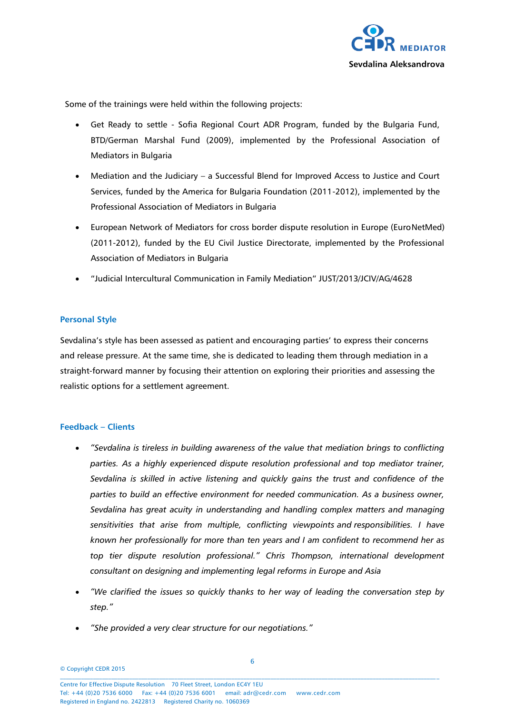

Some of the trainings were held within the following projects:

- Get Ready to settle Sofia Regional Court ADR Program, funded by the Bulgaria Fund, BTD/German Marshal Fund (2009), implemented by the Professional Association of Mediators in Bulgaria
- Mediation and the Judiciary a Successful Blend for Improved Access to Justice and Court Services, funded by the America for Bulgaria Foundation (2011-2012), implemented by the Professional Association of Mediators in Bulgaria
- European Network of Mediators for cross border dispute resolution in Europe (EuroNetMed) (2011-2012), funded by the EU Civil Justice Directorate, implemented by the Professional Association of Mediators in Bulgaria
- "Judicial Intercultural Communication in Family Mediation" JUST/2013/JCIV/AG/4628

# **Personal Style**

Sevdalina's style has been assessed as patient and encouraging parties' to express their concerns and release pressure. At the same time, she is dedicated to leading them through mediation in a straight-forward manner by focusing their attention on exploring their priorities and assessing the realistic options for a settlement agreement.

#### **Feedback – Clients**

- *"Sevdalina is tireless in building awareness of the value that mediation brings to conflicting parties. As a highly experienced dispute resolution professional and top mediator trainer, Sevdalina is skilled in active listening and quickly gains the trust and confidence of the parties to build an effective environment for needed communication. As a business owner, Sevdalina has great acuity in understanding and handling complex matters and managing sensitivities that arise from multiple, conflicting viewpoints and responsibilities. I have known her professionally for more than ten years and I am confident to recommend her as top tier dispute resolution professional." Chris Thompson, international development consultant on designing and implementing legal reforms in Europe and Asia*
- *"We clarified the issues so quickly thanks to her way of leading the conversation step by step."*
- *"She provided a very clear structure for our negotiations."*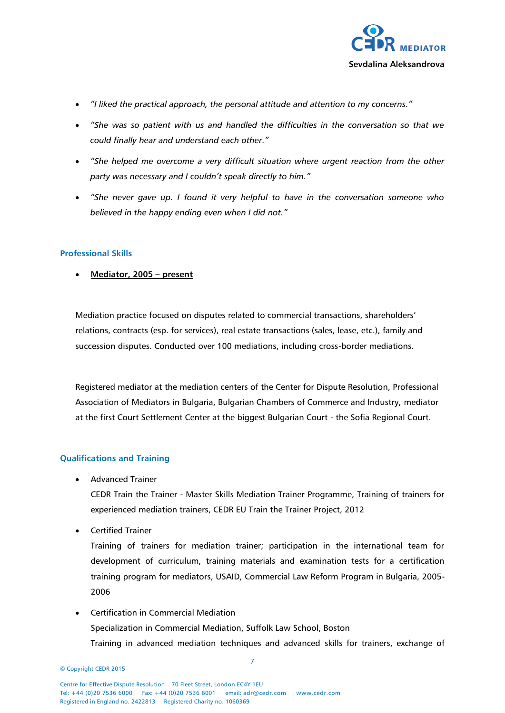

- *"I liked the practical approach, the personal attitude and attention to my concerns."*
- *"She was so patient with us and handled the difficulties in the conversation so that we could finally hear and understand each other."*
- *"She helped me overcome a very difficult situation where urgent reaction from the other party was necessary and I couldn't speak directly to him."*
- *"She never gave up. I found it very helpful to have in the conversation someone who believed in the happy ending even when I did not."*

## **Professional Skills**

**Mediator, 2005 – present**

Mediation practice focused on disputes related to commercial transactions, shareholders' relations, contracts (esp. for services), real estate transactions (sales, lease, etc.), family and succession disputes. Conducted over 100 mediations, including cross-border mediations.

Registered mediator at the mediation centers of the Center for Dispute Resolution, Professional Association of Mediators in Bulgaria, Bulgarian Chambers of Commerce and Industry, mediator at the first Court Settlement Center at the biggest Bulgarian Court - the Sofia Regional Court.

# **Qualifications and Training**

• Advanced Trainer

CEDR Train the Trainer - Master Skills Mediation Trainer Programme, Training of trainers for experienced mediation trainers, CEDR EU Train the Trainer Project, 2012

Certified Trainer

Training of trainers for mediation trainer; participation in the international team for development of curriculum, training materials and examination tests for a certification training program for mediators, USAID, Commercial Law Reform Program in Bulgaria, 2005- 2006

 Certification in Commercial Mediation Specialization in Commercial Mediation, Suffolk Law School, Boston Training in advanced mediation techniques and advanced skills for trainers, exchange of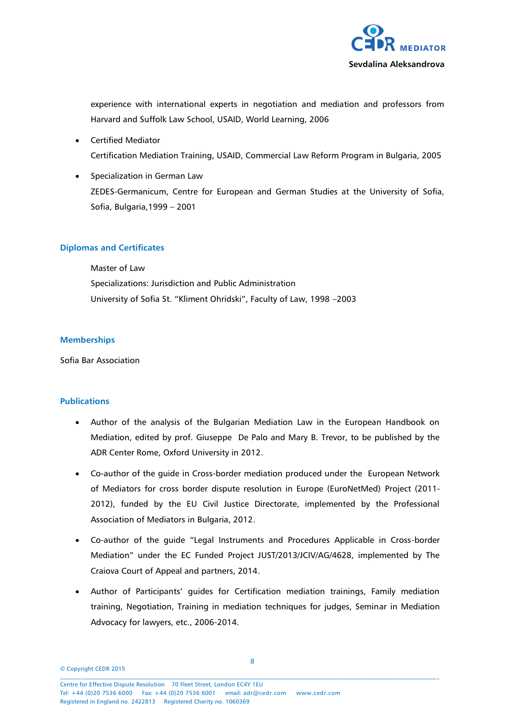

experience with international experts in negotiation and mediation and professors from Harvard and Suffolk Law School, USAID, World Learning, 2006

- Certified Mediator Certification Mediation Training, USAID, Commercial Law Reform Program in Bulgaria, 2005
- Specialization in German Law ZEDES-Germanicum, Centre for European and German Studies at the University of Sofia, Sofia, Bulgaria,1999 – 2001

## **Diplomas and Certificates**

Master of Law Specializations: Jurisdiction and Public Administration University of Sofia St. "Kliment Ohridski", Faculty of Law, 1998 –2003

#### **Memberships**

Sofia Bar Association

#### **Publications**

- Author of the analysis of the Bulgarian Mediation Law in the European Handbook on Mediation, edited by prof. Giuseppe De Palo and Mary B. Trevor, to be published by the ADR Center Rome, Oxford University in 2012.
- Co-author of the guide in Cross-border mediation produced under the European Network of Mediators for cross border dispute resolution in Europe (EuroNetMed) Project (2011- 2012), funded by the EU Civil Justice Directorate, implemented by the Professional Association of Mediators in Bulgaria, 2012.
- Co-author of the guide "Legal Instruments and Procedures Applicable in Cross-border Mediation" under the EC Funded Project JUST/2013/JCIV/AG/4628, implemented by The Craiova Court of Appeal and partners, 2014.
- Author of Participants' guides for Certification mediation trainings, Family mediation training, Negotiation, Training in mediation techniques for judges, Seminar in Mediation Advocacy for lawyers, etc., 2006-2014.

© Copyright CEDR 2015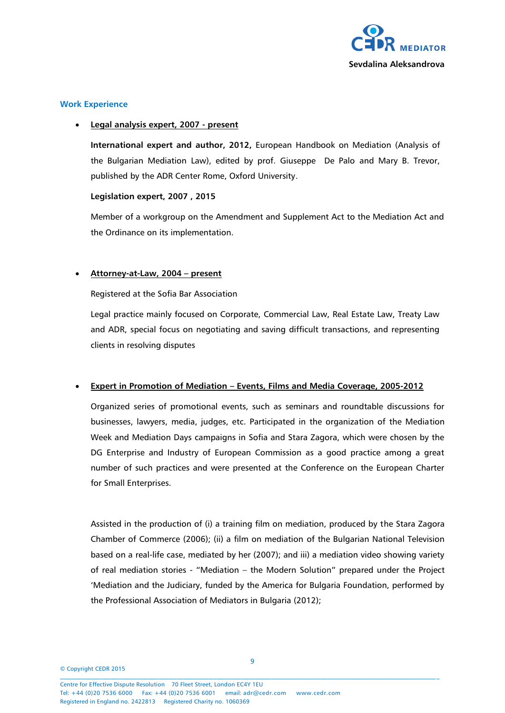

# **Work Experience**

## **Legal analysis expert, 2007 - present**

**International expert and author, 2012,** European Handbook on Mediation (Analysis of the Bulgarian Mediation Law), edited by prof. Giuseppe De Palo and Mary B. Trevor, published by the ADR Center Rome, Oxford University.

## **Legislation expert, 2007 , 2015**

Member of a workgroup on the Amendment and Supplement Act to the Mediation Act and the Ordinance on its implementation.

# **Attorney-at-Law, 2004 – present**

Registered at the Sofia Bar Association

Legal practice mainly focused on Corporate, Commercial Law, Real Estate Law, Treaty Law and ADR, special focus on negotiating and saving difficult transactions, and representing clients in resolving disputes

# **Expert in Promotion of Mediation – Events, Films and Media Coverage, 2005-2012**

Organized series of promotional events, such as seminars and roundtable discussions for businesses, lawyers, media, judges, etc. Participated in the organization of the Mediation Week and Mediation Days campaigns in Sofia and Stara Zagora, which were chosen by the DG Enterprise and Industry of European Commission as a good practice among a great number of such practices and were presented at the Conference on the European Charter for Small Enterprises.

Assisted in the production of (i) a training film on mediation, produced by the Stara Zagora Chamber of Commerce (2006); (ii) a film on mediation of the Bulgarian National Television based on a real-life case, mediated by her (2007); and iii) a mediation video showing variety of real mediation stories - "Mediation – the Modern Solution" prepared under the Project 'Mediation and the Judiciary, funded by the America for Bulgaria Foundation, performed by the Professional Association of Mediators in Bulgaria (2012);